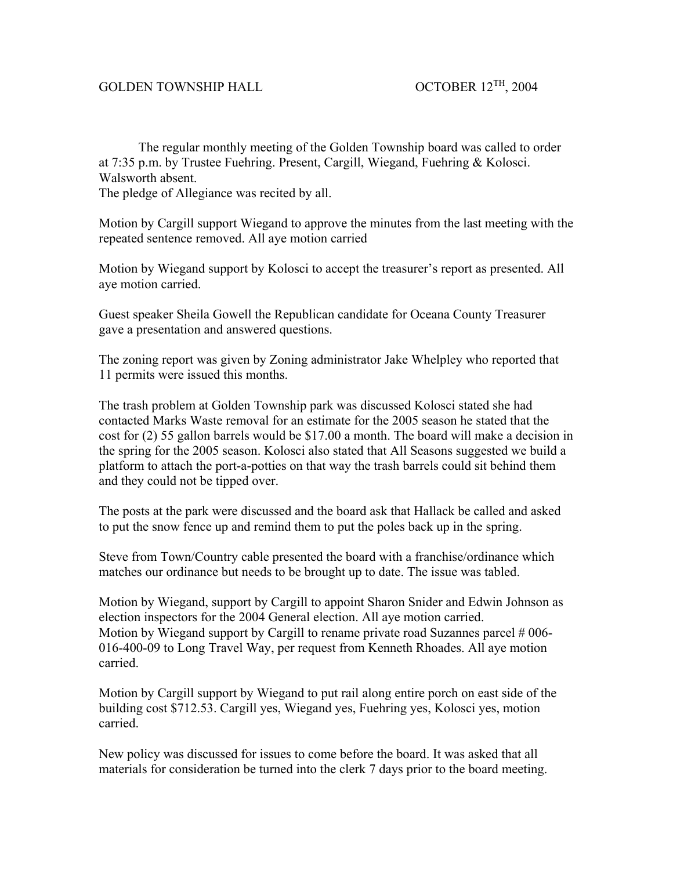## GOLDEN TOWNSHIP HALL OCTOBER 12<sup>TH</sup>, 2004

 The regular monthly meeting of the Golden Township board was called to order at 7:35 p.m. by Trustee Fuehring. Present, Cargill, Wiegand, Fuehring & Kolosci. Walsworth absent. The pledge of Allegiance was recited by all.

Motion by Cargill support Wiegand to approve the minutes from the last meeting with the repeated sentence removed. All aye motion carried

Motion by Wiegand support by Kolosci to accept the treasurer's report as presented. All aye motion carried.

Guest speaker Sheila Gowell the Republican candidate for Oceana County Treasurer gave a presentation and answered questions.

The zoning report was given by Zoning administrator Jake Whelpley who reported that 11 permits were issued this months.

The trash problem at Golden Township park was discussed Kolosci stated she had contacted Marks Waste removal for an estimate for the 2005 season he stated that the cost for (2) 55 gallon barrels would be \$17.00 a month. The board will make a decision in the spring for the 2005 season. Kolosci also stated that All Seasons suggested we build a platform to attach the port-a-potties on that way the trash barrels could sit behind them and they could not be tipped over.

The posts at the park were discussed and the board ask that Hallack be called and asked to put the snow fence up and remind them to put the poles back up in the spring.

Steve from Town/Country cable presented the board with a franchise/ordinance which matches our ordinance but needs to be brought up to date. The issue was tabled.

Motion by Wiegand, support by Cargill to appoint Sharon Snider and Edwin Johnson as election inspectors for the 2004 General election. All aye motion carried. Motion by Wiegand support by Cargill to rename private road Suzannes parcel #006-016-400-09 to Long Travel Way, per request from Kenneth Rhoades. All aye motion carried.

Motion by Cargill support by Wiegand to put rail along entire porch on east side of the building cost \$712.53. Cargill yes, Wiegand yes, Fuehring yes, Kolosci yes, motion carried.

New policy was discussed for issues to come before the board. It was asked that all materials for consideration be turned into the clerk 7 days prior to the board meeting.